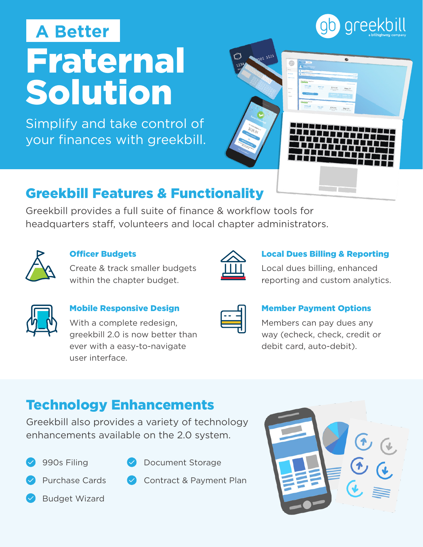# Fraternal Solution **A Better**

Simplify and take control of your finances with greekbill.



## Greekbill Features & Functionality

Greekbill provides a full suite of finance & workflow tools for headquarters staff, volunteers and local chapter administrators.



#### Officer Budgets

Create & track smaller budgets within the chapter budget.

#### Local Dues Billing & Reporting

Local dues billing, enhanced reporting and custom analytics.

#### Mobile Responsive Design

With a complete redesign, greekbill 2.0 is now better than ever with a easy-to-navigate user interface.

| and the state of the state of the state of the state of the state of the state of the state of the state of th | and the state of the state of the state of the state of the state of the state of the state of the state of th |
|----------------------------------------------------------------------------------------------------------------|----------------------------------------------------------------------------------------------------------------|
|                                                                                                                |                                                                                                                |

#### Member Payment Options

Members can pay dues any way (echeck, check, credit or debit card, auto-debit).

## Technology Enhancements

Greekbill also provides a variety of technology enhancements available on the 2.0 system.





- Document Storage
- Purchase Cards

Budget Wizard

- 
-